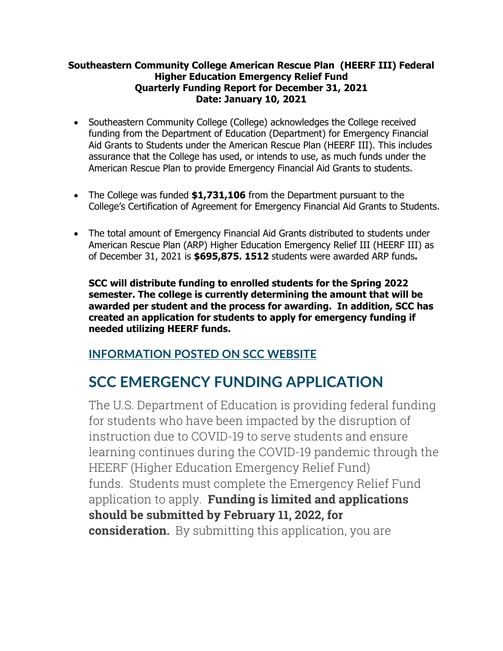## **Southeastern Community College American Rescue Plan (HEERF III) Federal Higher Education Emergency Relief Fund Quarterly Funding Report for December 31, 2021 Date: January 10, 2021**

- Southeastern Community College (College) acknowledges the College received funding from the Department of Education (Department) for Emergency Financial Aid Grants to Students under the American Rescue Plan (HEERF III). This includes assurance that the College has used, or intends to use, as much funds under the American Rescue Plan to provide Emergency Financial Aid Grants to students.
- The College was funded **\$1,731,106** from the Department pursuant to the College's Certification of Agreement for Emergency Financial Aid Grants to Students.
- The total amount of Emergency Financial Aid Grants distributed to students under American Rescue Plan (ARP) Higher Education Emergency Relief III (HEERF III) as of December 31, 2021 is **\$695,875. 1512** students were awarded ARP funds**.**

**SCC will distribute funding to enrolled students for the Spring 2022 semester. The college is currently determining the amount that will be awarded per student and the process for awarding. In addition, SCC has created an application for students to apply for emergency funding if needed utilizing HEERF funds.**

## **INFORMATION POSTED ON SCC WEBSITE**

## **SCC EMERGENCY FUNDING APPLICATION**

The U.S. Department of Education is providing federal funding for students who have been impacted by the disruption of instruction due to COVID-19 to serve students and ensure learning continues during the COVID-19 pandemic through the HEERF (Higher Education Emergency Relief Fund) funds. Students must complete the Emergency Relief Fund application to apply. **Funding is limited and applications should be submitted by February 11, 2022, for consideration.** By submitting this application, you are